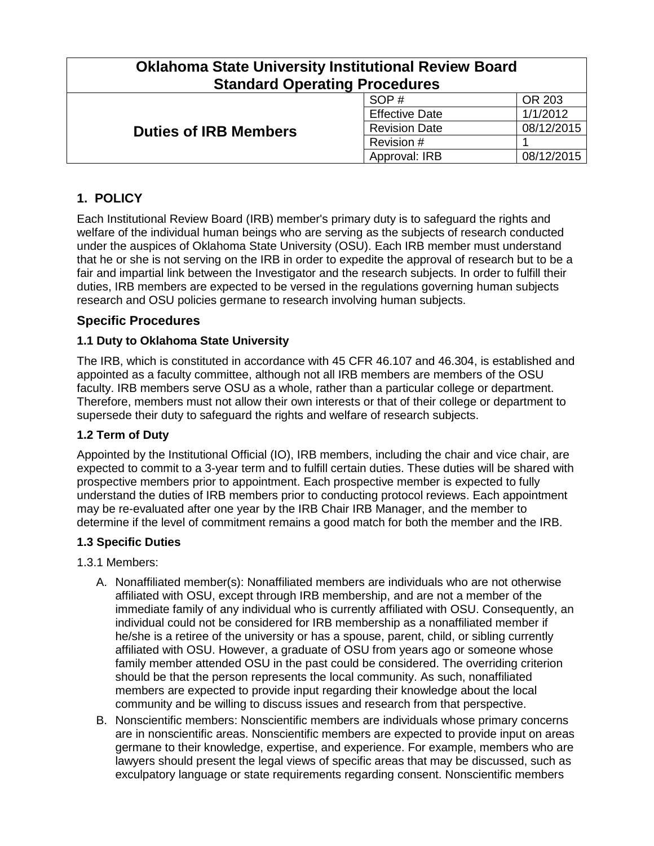| <b>Oklahoma State University Institutional Review Board</b><br><b>Standard Operating Procedures</b> |                       |            |
|-----------------------------------------------------------------------------------------------------|-----------------------|------------|
|                                                                                                     | SOP#                  | OR 203     |
|                                                                                                     | <b>Effective Date</b> | 1/1/2012   |
| <b>Duties of IRB Members</b>                                                                        | <b>Revision Date</b>  | 08/12/2015 |
|                                                                                                     | Revision #            |            |
|                                                                                                     | Approval: IRB         | 08/12/2015 |

# **1. POLICY**

Each Institutional Review Board (IRB) member's primary duty is to safeguard the rights and welfare of the individual human beings who are serving as the subjects of research conducted under the auspices of Oklahoma State University (OSU). Each IRB member must understand that he or she is not serving on the IRB in order to expedite the approval of research but to be a fair and impartial link between the Investigator and the research subjects. In order to fulfill their duties, IRB members are expected to be versed in the regulations governing human subjects research and OSU policies germane to research involving human subjects.

### **Specific Procedures**

#### **1.1 Duty to Oklahoma State University**

The IRB, which is constituted in accordance with 45 CFR 46.107 and 46.304, is established and appointed as a faculty committee, although not all IRB members are members of the OSU faculty. IRB members serve OSU as a whole, rather than a particular college or department. Therefore, members must not allow their own interests or that of their college or department to supersede their duty to safeguard the rights and welfare of research subjects.

#### **1.2 Term of Duty**

Appointed by the Institutional Official (IO), IRB members, including the chair and vice chair, are expected to commit to a 3-year term and to fulfill certain duties. These duties will be shared with prospective members prior to appointment. Each prospective member is expected to fully understand the duties of IRB members prior to conducting protocol reviews. Each appointment may be re-evaluated after one year by the IRB Chair IRB Manager, and the member to determine if the level of commitment remains a good match for both the member and the IRB.

#### **1.3 Specific Duties**

- 1.3.1 Members:
	- A. Nonaffiliated member(s): Nonaffiliated members are individuals who are not otherwise affiliated with OSU, except through IRB membership, and are not a member of the immediate family of any individual who is currently affiliated with OSU. Consequently, an individual could not be considered for IRB membership as a nonaffiliated member if he/she is a retiree of the university or has a spouse, parent, child, or sibling currently affiliated with OSU. However, a graduate of OSU from years ago or someone whose family member attended OSU in the past could be considered. The overriding criterion should be that the person represents the local community. As such, nonaffiliated members are expected to provide input regarding their knowledge about the local community and be willing to discuss issues and research from that perspective.
	- B. Nonscientific members: Nonscientific members are individuals whose primary concerns are in nonscientific areas. Nonscientific members are expected to provide input on areas germane to their knowledge, expertise, and experience. For example, members who are lawyers should present the legal views of specific areas that may be discussed, such as exculpatory language or state requirements regarding consent. Nonscientific members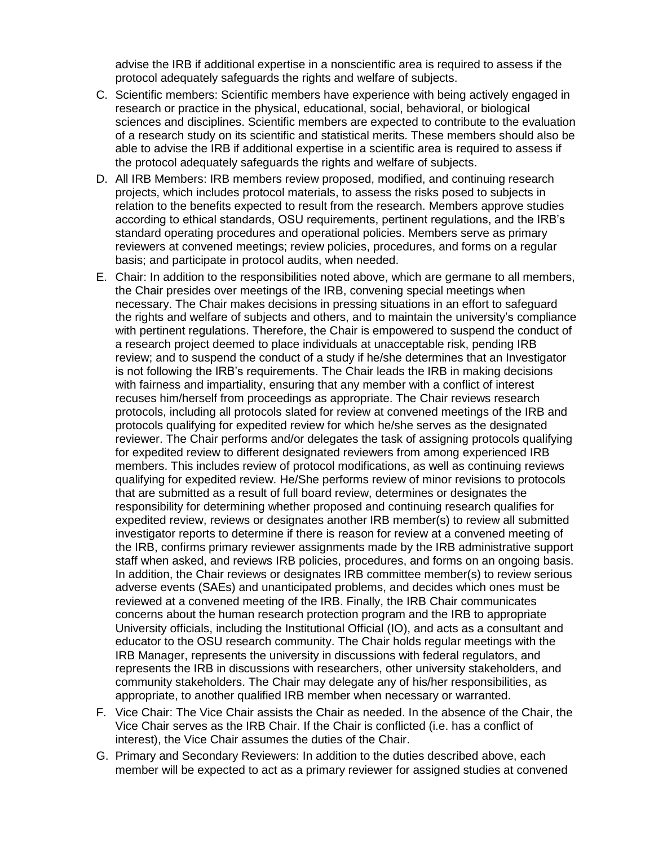advise the IRB if additional expertise in a nonscientific area is required to assess if the protocol adequately safeguards the rights and welfare of subjects.

- C. Scientific members: Scientific members have experience with being actively engaged in research or practice in the physical, educational, social, behavioral, or biological sciences and disciplines. Scientific members are expected to contribute to the evaluation of a research study on its scientific and statistical merits. These members should also be able to advise the IRB if additional expertise in a scientific area is required to assess if the protocol adequately safeguards the rights and welfare of subjects.
- D. All IRB Members: IRB members review proposed, modified, and continuing research projects, which includes protocol materials, to assess the risks posed to subjects in relation to the benefits expected to result from the research. Members approve studies according to ethical standards, OSU requirements, pertinent regulations, and the IRB's standard operating procedures and operational policies. Members serve as primary reviewers at convened meetings; review policies, procedures, and forms on a regular basis; and participate in protocol audits, when needed.
- E. Chair: In addition to the responsibilities noted above, which are germane to all members, the Chair presides over meetings of the IRB, convening special meetings when necessary. The Chair makes decisions in pressing situations in an effort to safeguard the rights and welfare of subjects and others, and to maintain the university's compliance with pertinent regulations. Therefore, the Chair is empowered to suspend the conduct of a research project deemed to place individuals at unacceptable risk, pending IRB review; and to suspend the conduct of a study if he/she determines that an Investigator is not following the IRB's requirements. The Chair leads the IRB in making decisions with fairness and impartiality, ensuring that any member with a conflict of interest recuses him/herself from proceedings as appropriate. The Chair reviews research protocols, including all protocols slated for review at convened meetings of the IRB and protocols qualifying for expedited review for which he/she serves as the designated reviewer. The Chair performs and/or delegates the task of assigning protocols qualifying for expedited review to different designated reviewers from among experienced IRB members. This includes review of protocol modifications, as well as continuing reviews qualifying for expedited review. He/She performs review of minor revisions to protocols that are submitted as a result of full board review, determines or designates the responsibility for determining whether proposed and continuing research qualifies for expedited review, reviews or designates another IRB member(s) to review all submitted investigator reports to determine if there is reason for review at a convened meeting of the IRB, confirms primary reviewer assignments made by the IRB administrative support staff when asked, and reviews IRB policies, procedures, and forms on an ongoing basis. In addition, the Chair reviews or designates IRB committee member(s) to review serious adverse events (SAEs) and unanticipated problems, and decides which ones must be reviewed at a convened meeting of the IRB. Finally, the IRB Chair communicates concerns about the human research protection program and the IRB to appropriate University officials, including the Institutional Official (IO), and acts as a consultant and educator to the OSU research community. The Chair holds regular meetings with the IRB Manager, represents the university in discussions with federal regulators, and represents the IRB in discussions with researchers, other university stakeholders, and community stakeholders. The Chair may delegate any of his/her responsibilities, as appropriate, to another qualified IRB member when necessary or warranted.
- F. Vice Chair: The Vice Chair assists the Chair as needed. In the absence of the Chair, the Vice Chair serves as the IRB Chair. If the Chair is conflicted (i.e. has a conflict of interest), the Vice Chair assumes the duties of the Chair.
- G. Primary and Secondary Reviewers: In addition to the duties described above, each member will be expected to act as a primary reviewer for assigned studies at convened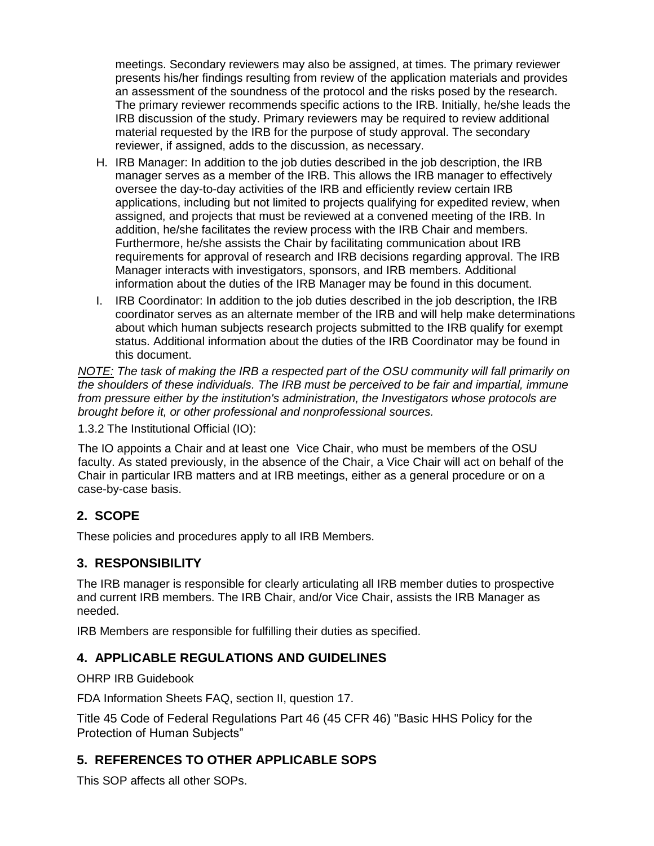meetings. Secondary reviewers may also be assigned, at times. The primary reviewer presents his/her findings resulting from review of the application materials and provides an assessment of the soundness of the protocol and the risks posed by the research. The primary reviewer recommends specific actions to the IRB. Initially, he/she leads the IRB discussion of the study. Primary reviewers may be required to review additional material requested by the IRB for the purpose of study approval. The secondary reviewer, if assigned, adds to the discussion, as necessary.

- H. IRB Manager: In addition to the job duties described in the job description, the IRB manager serves as a member of the IRB. This allows the IRB manager to effectively oversee the day-to-day activities of the IRB and efficiently review certain IRB applications, including but not limited to projects qualifying for expedited review, when assigned, and projects that must be reviewed at a convened meeting of the IRB. In addition, he/she facilitates the review process with the IRB Chair and members. Furthermore, he/she assists the Chair by facilitating communication about IRB requirements for approval of research and IRB decisions regarding approval. The IRB Manager interacts with investigators, sponsors, and IRB members. Additional information about the duties of the IRB Manager may be found in this document.
- I. IRB Coordinator: In addition to the job duties described in the job description, the IRB coordinator serves as an alternate member of the IRB and will help make determinations about which human subjects research projects submitted to the IRB qualify for exempt status. Additional information about the duties of the IRB Coordinator may be found in this document.

*NOTE: The task of making the IRB a respected part of the OSU community will fall primarily on the shoulders of these individuals. The IRB must be perceived to be fair and impartial, immune from pressure either by the institution's administration, the Investigators whose protocols are brought before it, or other professional and nonprofessional sources.*

1.3.2 The Institutional Official (IO):

The IO appoints a Chair and at least one Vice Chair, who must be members of the OSU faculty. As stated previously, in the absence of the Chair, a Vice Chair will act on behalf of the Chair in particular IRB matters and at IRB meetings, either as a general procedure or on a case-by-case basis.

# **2. SCOPE**

These policies and procedures apply to all IRB Members.

# **3. RESPONSIBILITY**

The IRB manager is responsible for clearly articulating all IRB member duties to prospective and current IRB members. The IRB Chair, and/or Vice Chair, assists the IRB Manager as needed.

IRB Members are responsible for fulfilling their duties as specified.

#### **4. APPLICABLE REGULATIONS AND GUIDELINES**

OHRP IRB Guidebook

FDA Information Sheets FAQ, section II, question 17.

Title 45 Code of Federal Regulations Part 46 (45 CFR 46) "Basic HHS Policy for the Protection of Human Subjects"

# **5. REFERENCES TO OTHER APPLICABLE SOPS**

This SOP affects all other SOPs.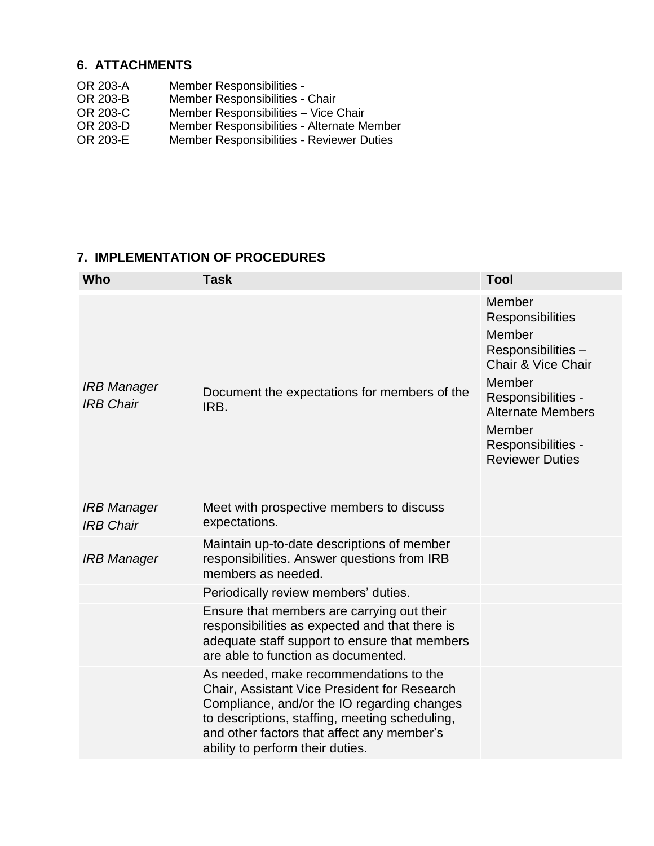## **6. ATTACHMENTS**

- OR 203-A Member Responsibilities -<br>OR 203-B Member Responsibilities -
- OR 203-B Member Responsibilities Chair<br>OR 203-C Member Responsibilities Vice 0
- Member Responsibilities Vice Chair
- OR 203-D Member Responsibilities Alternate Member
- OR 203-E Member Responsibilities Reviewer Duties

### **7. IMPLEMENTATION OF PROCEDURES**

| Who                                    | <b>Task</b>                                                                                                                                                                                                                                                               | <b>Tool</b>                                                                                                                                                                                                       |
|----------------------------------------|---------------------------------------------------------------------------------------------------------------------------------------------------------------------------------------------------------------------------------------------------------------------------|-------------------------------------------------------------------------------------------------------------------------------------------------------------------------------------------------------------------|
| <b>IRB Manager</b><br><b>IRB Chair</b> | Document the expectations for members of the<br>IRB.                                                                                                                                                                                                                      | Member<br>Responsibilities<br>Member<br>Responsibilities -<br><b>Chair &amp; Vice Chair</b><br>Member<br>Responsibilities -<br><b>Alternate Members</b><br>Member<br>Responsibilities -<br><b>Reviewer Duties</b> |
| IRB Manager<br><b>IRB Chair</b>        | Meet with prospective members to discuss<br>expectations.                                                                                                                                                                                                                 |                                                                                                                                                                                                                   |
| <b>IRB Manager</b>                     | Maintain up-to-date descriptions of member<br>responsibilities. Answer questions from IRB<br>members as needed.                                                                                                                                                           |                                                                                                                                                                                                                   |
|                                        | Periodically review members' duties.                                                                                                                                                                                                                                      |                                                                                                                                                                                                                   |
|                                        | Ensure that members are carrying out their<br>responsibilities as expected and that there is<br>adequate staff support to ensure that members<br>are able to function as documented.                                                                                      |                                                                                                                                                                                                                   |
|                                        | As needed, make recommendations to the<br>Chair, Assistant Vice President for Research<br>Compliance, and/or the IO regarding changes<br>to descriptions, staffing, meeting scheduling,<br>and other factors that affect any member's<br>ability to perform their duties. |                                                                                                                                                                                                                   |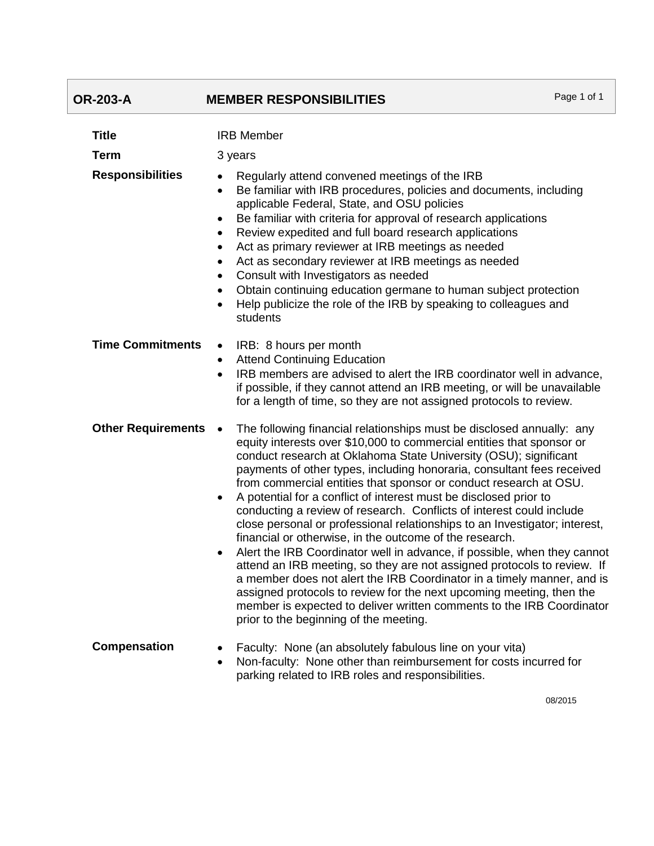# **OR-203-A MEMBER RESPONSIBILITIES** Page 1 of 1

| <b>Title</b>              | <b>IRB Member</b>                                                                                                                                                                                                                                                                                                                                                                                                                                                                                                                                                                                                                                                                                                                                                                                                                                                                                                                                                                                                                                                                                                          |
|---------------------------|----------------------------------------------------------------------------------------------------------------------------------------------------------------------------------------------------------------------------------------------------------------------------------------------------------------------------------------------------------------------------------------------------------------------------------------------------------------------------------------------------------------------------------------------------------------------------------------------------------------------------------------------------------------------------------------------------------------------------------------------------------------------------------------------------------------------------------------------------------------------------------------------------------------------------------------------------------------------------------------------------------------------------------------------------------------------------------------------------------------------------|
| Term                      | 3 years                                                                                                                                                                                                                                                                                                                                                                                                                                                                                                                                                                                                                                                                                                                                                                                                                                                                                                                                                                                                                                                                                                                    |
| <b>Responsibilities</b>   | Regularly attend convened meetings of the IRB<br>Be familiar with IRB procedures, policies and documents, including<br>$\bullet$<br>applicable Federal, State, and OSU policies<br>Be familiar with criteria for approval of research applications<br>$\bullet$<br>Review expedited and full board research applications<br>$\bullet$<br>Act as primary reviewer at IRB meetings as needed<br>$\bullet$<br>Act as secondary reviewer at IRB meetings as needed<br>$\bullet$<br>Consult with Investigators as needed<br>$\bullet$<br>Obtain continuing education germane to human subject protection<br>Help publicize the role of the IRB by speaking to colleagues and<br>$\bullet$<br>students                                                                                                                                                                                                                                                                                                                                                                                                                           |
| <b>Time Commitments</b>   | IRB: 8 hours per month<br>$\bullet$<br><b>Attend Continuing Education</b><br>$\bullet$<br>IRB members are advised to alert the IRB coordinator well in advance,<br>$\bullet$<br>if possible, if they cannot attend an IRB meeting, or will be unavailable<br>for a length of time, so they are not assigned protocols to review.                                                                                                                                                                                                                                                                                                                                                                                                                                                                                                                                                                                                                                                                                                                                                                                           |
| <b>Other Requirements</b> | The following financial relationships must be disclosed annually: any<br>$\bullet$<br>equity interests over \$10,000 to commercial entities that sponsor or<br>conduct research at Oklahoma State University (OSU); significant<br>payments of other types, including honoraria, consultant fees received<br>from commercial entities that sponsor or conduct research at OSU.<br>A potential for a conflict of interest must be disclosed prior to<br>$\bullet$<br>conducting a review of research. Conflicts of interest could include<br>close personal or professional relationships to an Investigator; interest,<br>financial or otherwise, in the outcome of the research.<br>Alert the IRB Coordinator well in advance, if possible, when they cannot<br>$\bullet$<br>attend an IRB meeting, so they are not assigned protocols to review. If<br>a member does not alert the IRB Coordinator in a timely manner, and is<br>assigned protocols to review for the next upcoming meeting, then the<br>member is expected to deliver written comments to the IRB Coordinator<br>prior to the beginning of the meeting. |
| Compensation              | Faculty: None (an absolutely fabulous line on your vita)<br>$\bullet$<br>Non-faculty: None other than reimbursement for costs incurred for<br>$\bullet$<br>parking related to IRB roles and responsibilities.                                                                                                                                                                                                                                                                                                                                                                                                                                                                                                                                                                                                                                                                                                                                                                                                                                                                                                              |

08/2015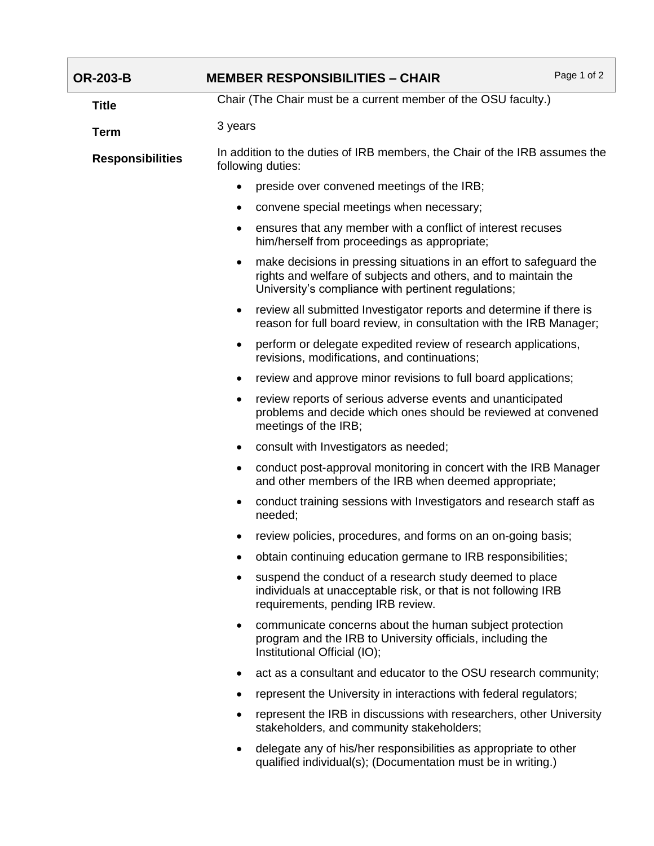| <b>OR-203-B</b>         | <b>MEMBER RESPONSIBILITIES - CHAIR</b>                                                                                                                                                       | Page 1 of 2 |
|-------------------------|----------------------------------------------------------------------------------------------------------------------------------------------------------------------------------------------|-------------|
| <b>Title</b>            | Chair (The Chair must be a current member of the OSU faculty.)                                                                                                                               |             |
| <b>Term</b>             | 3 years                                                                                                                                                                                      |             |
| <b>Responsibilities</b> | In addition to the duties of IRB members, the Chair of the IRB assumes the<br>following duties:                                                                                              |             |
|                         | preside over convened meetings of the IRB;<br>$\bullet$                                                                                                                                      |             |
|                         | convene special meetings when necessary;<br>٠                                                                                                                                                |             |
|                         | ensures that any member with a conflict of interest recuses<br>٠<br>him/herself from proceedings as appropriate;                                                                             |             |
|                         | make decisions in pressing situations in an effort to safeguard the<br>rights and welfare of subjects and others, and to maintain the<br>University's compliance with pertinent regulations; |             |
|                         | review all submitted Investigator reports and determine if there is<br>٠<br>reason for full board review, in consultation with the IRB Manager;                                              |             |
|                         | perform or delegate expedited review of research applications,<br>$\bullet$<br>revisions, modifications, and continuations;                                                                  |             |
|                         | review and approve minor revisions to full board applications;                                                                                                                               |             |
|                         | review reports of serious adverse events and unanticipated<br>problems and decide which ones should be reviewed at convened<br>meetings of the IRB;                                          |             |
|                         | consult with Investigators as needed;<br>٠                                                                                                                                                   |             |
|                         | conduct post-approval monitoring in concert with the IRB Manager<br>and other members of the IRB when deemed appropriate;                                                                    |             |
|                         | conduct training sessions with Investigators and research staff as<br>needed;                                                                                                                |             |
|                         | review policies, procedures, and forms on an on-going basis;                                                                                                                                 |             |
|                         | obtain continuing education germane to IRB responsibilities;                                                                                                                                 |             |
|                         | suspend the conduct of a research study deemed to place<br>individuals at unacceptable risk, or that is not following IRB<br>requirements, pending IRB review.                               |             |
|                         | communicate concerns about the human subject protection<br>program and the IRB to University officials, including the<br>Institutional Official (IO);                                        |             |
|                         | act as a consultant and educator to the OSU research community;                                                                                                                              |             |
|                         | represent the University in interactions with federal regulators;                                                                                                                            |             |
|                         | represent the IRB in discussions with researchers, other University<br>stakeholders, and community stakeholders;                                                                             |             |
|                         | delegate any of his/her responsibilities as appropriate to other<br>٠<br>qualified individual(s); (Documentation must be in writing.)                                                        |             |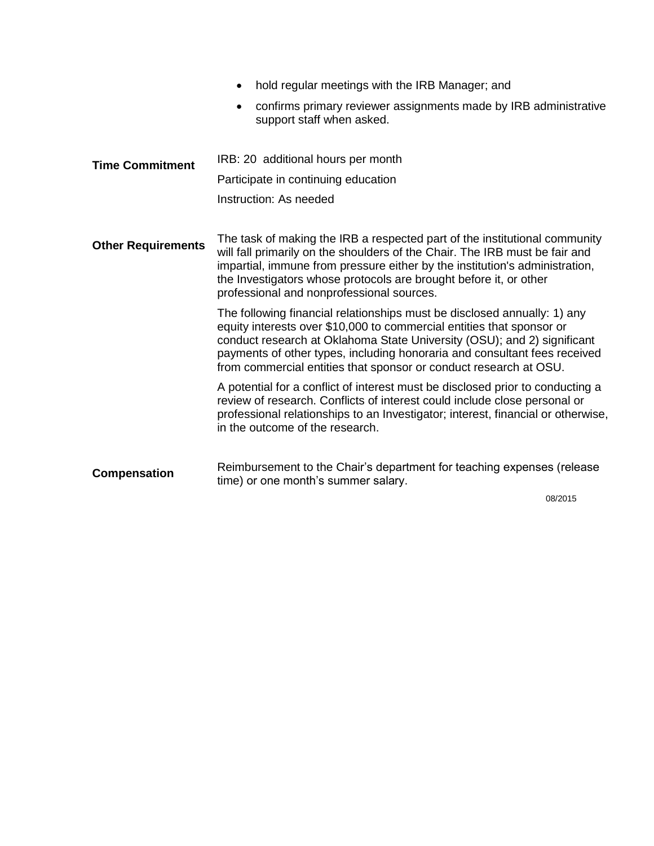|                           | hold regular meetings with the IRB Manager; and                                                                                                                                                                                                                                                                                                                                |
|---------------------------|--------------------------------------------------------------------------------------------------------------------------------------------------------------------------------------------------------------------------------------------------------------------------------------------------------------------------------------------------------------------------------|
|                           | confirms primary reviewer assignments made by IRB administrative<br>$\bullet$<br>support staff when asked.                                                                                                                                                                                                                                                                     |
| <b>Time Commitment</b>    | IRB: 20 additional hours per month                                                                                                                                                                                                                                                                                                                                             |
|                           | Participate in continuing education                                                                                                                                                                                                                                                                                                                                            |
|                           | Instruction: As needed                                                                                                                                                                                                                                                                                                                                                         |
| <b>Other Requirements</b> | The task of making the IRB a respected part of the institutional community<br>will fall primarily on the shoulders of the Chair. The IRB must be fair and<br>impartial, immune from pressure either by the institution's administration,<br>the Investigators whose protocols are brought before it, or other<br>professional and nonprofessional sources.                     |
|                           | The following financial relationships must be disclosed annually: 1) any<br>equity interests over \$10,000 to commercial entities that sponsor or<br>conduct research at Oklahoma State University (OSU); and 2) significant<br>payments of other types, including honoraria and consultant fees received<br>from commercial entities that sponsor or conduct research at OSU. |
|                           | A potential for a conflict of interest must be disclosed prior to conducting a<br>review of research. Conflicts of interest could include close personal or<br>professional relationships to an Investigator; interest, financial or otherwise,<br>in the outcome of the research.                                                                                             |
| <b>Compensation</b>       | Reimbursement to the Chair's department for teaching expenses (release<br>time) or one month's summer salary.                                                                                                                                                                                                                                                                  |
|                           | 08/2015                                                                                                                                                                                                                                                                                                                                                                        |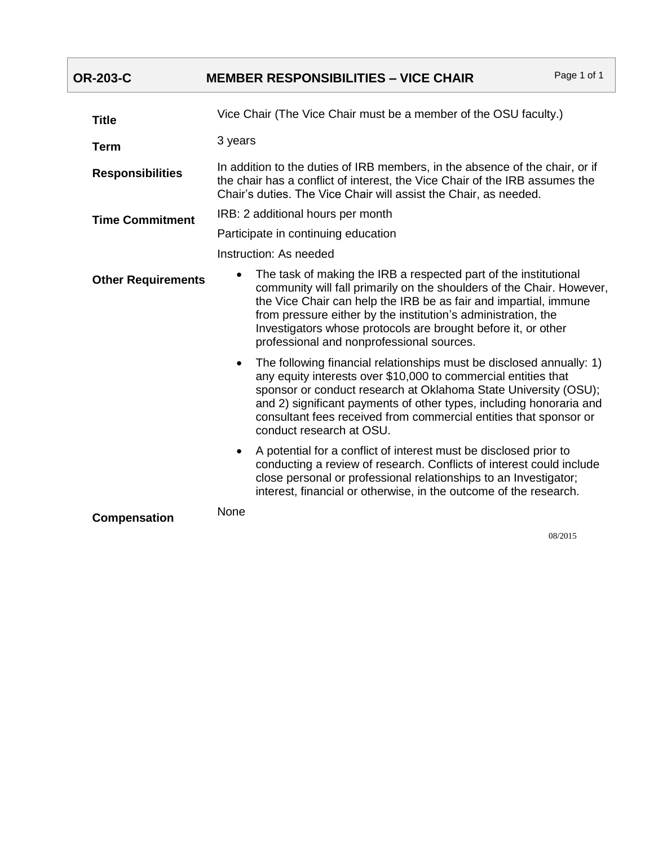| <b>OR-203-C</b>           | Page 1 of 1<br><b>MEMBER RESPONSIBILITIES - VICE CHAIR</b>                                                                                                                                                                                                                                                                                                                                   |  |
|---------------------------|----------------------------------------------------------------------------------------------------------------------------------------------------------------------------------------------------------------------------------------------------------------------------------------------------------------------------------------------------------------------------------------------|--|
| <b>Title</b>              | Vice Chair (The Vice Chair must be a member of the OSU faculty.)                                                                                                                                                                                                                                                                                                                             |  |
| <b>Term</b>               | 3 years                                                                                                                                                                                                                                                                                                                                                                                      |  |
| <b>Responsibilities</b>   | In addition to the duties of IRB members, in the absence of the chair, or if<br>the chair has a conflict of interest, the Vice Chair of the IRB assumes the<br>Chair's duties. The Vice Chair will assist the Chair, as needed.                                                                                                                                                              |  |
| <b>Time Commitment</b>    | IRB: 2 additional hours per month                                                                                                                                                                                                                                                                                                                                                            |  |
|                           | Participate in continuing education                                                                                                                                                                                                                                                                                                                                                          |  |
|                           | Instruction: As needed                                                                                                                                                                                                                                                                                                                                                                       |  |
| <b>Other Requirements</b> | The task of making the IRB a respected part of the institutional<br>community will fall primarily on the shoulders of the Chair. However,<br>the Vice Chair can help the IRB be as fair and impartial, immune<br>from pressure either by the institution's administration, the<br>Investigators whose protocols are brought before it, or other<br>professional and nonprofessional sources. |  |
|                           | The following financial relationships must be disclosed annually: 1)<br>any equity interests over \$10,000 to commercial entities that<br>sponsor or conduct research at Oklahoma State University (OSU);<br>and 2) significant payments of other types, including honoraria and<br>consultant fees received from commercial entities that sponsor or<br>conduct research at OSU.            |  |
|                           | A potential for a conflict of interest must be disclosed prior to<br>$\bullet$<br>conducting a review of research. Conflicts of interest could include<br>close personal or professional relationships to an Investigator;<br>interest, financial or otherwise, in the outcome of the research.                                                                                              |  |
| <b>Compensation</b>       | None                                                                                                                                                                                                                                                                                                                                                                                         |  |

08/2015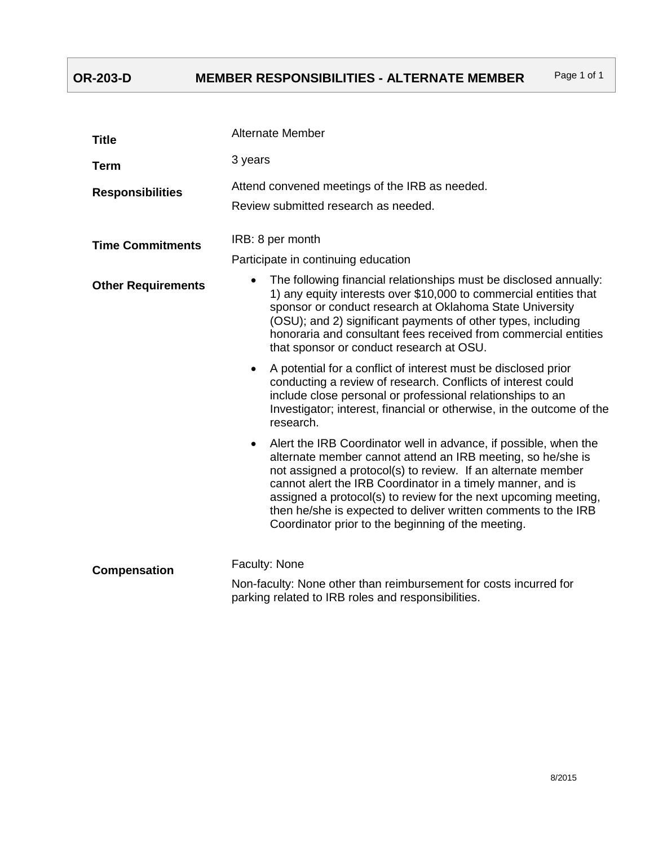# **OR-203-D MEMBER RESPONSIBILITIES - ALTERNATE MEMBER** Page 1 of 1

| <b>Title</b>              | <b>Alternate Member</b>                                                                                                                                                                                                                                                                                                                                                                                                                                                |
|---------------------------|------------------------------------------------------------------------------------------------------------------------------------------------------------------------------------------------------------------------------------------------------------------------------------------------------------------------------------------------------------------------------------------------------------------------------------------------------------------------|
| <b>Term</b>               | 3 years                                                                                                                                                                                                                                                                                                                                                                                                                                                                |
| <b>Responsibilities</b>   | Attend convened meetings of the IRB as needed.<br>Review submitted research as needed.                                                                                                                                                                                                                                                                                                                                                                                 |
| <b>Time Commitments</b>   | IRB: 8 per month                                                                                                                                                                                                                                                                                                                                                                                                                                                       |
|                           | Participate in continuing education                                                                                                                                                                                                                                                                                                                                                                                                                                    |
| <b>Other Requirements</b> | The following financial relationships must be disclosed annually:<br>1) any equity interests over \$10,000 to commercial entities that<br>sponsor or conduct research at Oklahoma State University<br>(OSU); and 2) significant payments of other types, including<br>honoraria and consultant fees received from commercial entities<br>that sponsor or conduct research at OSU.                                                                                      |
|                           | A potential for a conflict of interest must be disclosed prior<br>$\bullet$<br>conducting a review of research. Conflicts of interest could<br>include close personal or professional relationships to an<br>Investigator; interest, financial or otherwise, in the outcome of the<br>research.                                                                                                                                                                        |
|                           | Alert the IRB Coordinator well in advance, if possible, when the<br>$\bullet$<br>alternate member cannot attend an IRB meeting, so he/she is<br>not assigned a protocol(s) to review. If an alternate member<br>cannot alert the IRB Coordinator in a timely manner, and is<br>assigned a protocol(s) to review for the next upcoming meeting,<br>then he/she is expected to deliver written comments to the IRB<br>Coordinator prior to the beginning of the meeting. |
| Compensation              | Faculty: None                                                                                                                                                                                                                                                                                                                                                                                                                                                          |
|                           | Non-faculty: None other than reimbursement for costs incurred for<br>parking related to IRB roles and responsibilities.                                                                                                                                                                                                                                                                                                                                                |